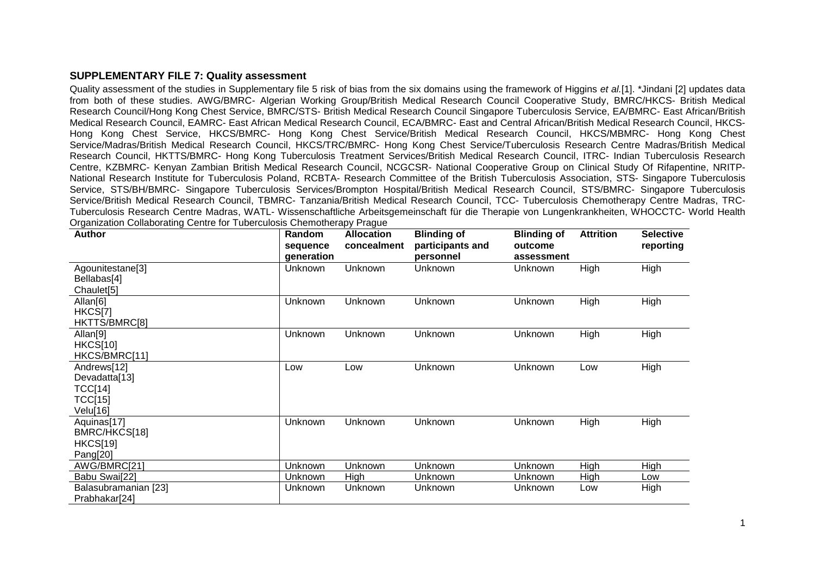## **SUPPLEMENTARY FILE 7: Quality assessment**

Quality assessment of the studies in Supplementary file 5 risk of bias from the six domains using the framework of Higgins *et al.*[1]. \*Jindani [2] updates data from both of these studies. AWG/BMRC- Algerian Working Group/British Medical Research Council Cooperative Study, BMRC/HKCS- British Medical Research Council/Hong Kong Chest Service, BMRC/STS- British Medical Research Council Singapore Tuberculosis Service, EA/BMRC- East African/British Medical Research Council, EAMRC- East African Medical Research Council, ECA/BMRC- East and Central African/British Medical Research Council, HKCS-Hong Kong Chest Service, HKCS/BMRC- Hong Kong Chest Service/British Medical Research Council, HKCS/MBMRC- Hong Kong Chest Service/Madras/British Medical Research Council, HKCS/TRC/BMRC- Hong Kong Chest Service/Tuberculosis Research Centre Madras/British Medical Research Council, HKTTS/BMRC- Hong Kong Tuberculosis Treatment Services/British Medical Research Council, ITRC- Indian Tuberculosis Research Centre, KZBMRC- Kenyan Zambian British Medical Research Council, NCGCSR- National Cooperative Group on Clinical Study Of Rifapentine, NRITP-National Research Institute for Tuberculosis Poland, RCBTA- Research Committee of the British Tuberculosis Association, STS- Singapore Tuberculosis Service, STS/BH/BMRC- Singapore Tuberculosis Services/Brompton Hospital/British Medical Research Council, STS/BMRC- Singapore Tuberculosis Service/British Medical Research Council, TBMRC- Tanzania/British Medical Research Council, TCC- Tuberculosis Chemotherapy Centre Madras, TRC-Tuberculosis Research Centre Madras, WATL- Wissenschaftliche Arbeitsgemeinschaft für die Therapie von Lungenkrankheiten, WHOCCTC- World Health Organization Collaborating Centre for Tuberculosis Chemotherapy Prague

| <b>Author</b>                                                         | Random<br>sequence<br>generation | <b>Allocation</b><br>concealment | <b>Blinding of</b><br>participants and<br>personnel | <b>Blinding of</b><br>outcome<br>assessment | <b>Attrition</b> | <b>Selective</b><br>reporting |
|-----------------------------------------------------------------------|----------------------------------|----------------------------------|-----------------------------------------------------|---------------------------------------------|------------------|-------------------------------|
| Agounitestane[3]<br>Bellabas[4]<br>Chaulet <sup>[5]</sup>             | Unknown                          | <b>Unknown</b>                   | Unknown                                             | Unknown                                     | High             | High                          |
| Allan[6]<br>HKCS[7]<br>HKTTS/BMRC[8]                                  | Unknown                          | Unknown                          | Unknown                                             | Unknown                                     | High             | High                          |
| Allan <sup>[9]</sup><br><b>HKCS[10]</b><br>HKCS/BMRC[11]              | Unknown                          | Unknown                          | Unknown                                             | Unknown                                     | High             | High                          |
| Andrews[12]<br>Devadatta[13]<br>TCC[14]<br><b>TCC[15]</b><br>Velu[16] | Low                              | Low                              | Unknown                                             | Unknown                                     | Low              | High                          |
| Aquinas[17]<br>BMRC/HKCS[18]<br><b>HKCS[19]</b><br>Pang[20]           | Unknown                          | Unknown                          | Unknown                                             | Unknown                                     | High             | High                          |
| AWG/BMRC[21]                                                          | Unknown                          | Unknown                          | Unknown                                             | Unknown                                     | High             | High                          |
| Babu Swai[22]                                                         | Unknown                          | High                             | Unknown                                             | Unknown                                     | High             | Low                           |
| Balasubramanian [23]<br>Prabhakar[24]                                 | Unknown                          | Unknown                          | Unknown                                             | Unknown                                     | Low              | High                          |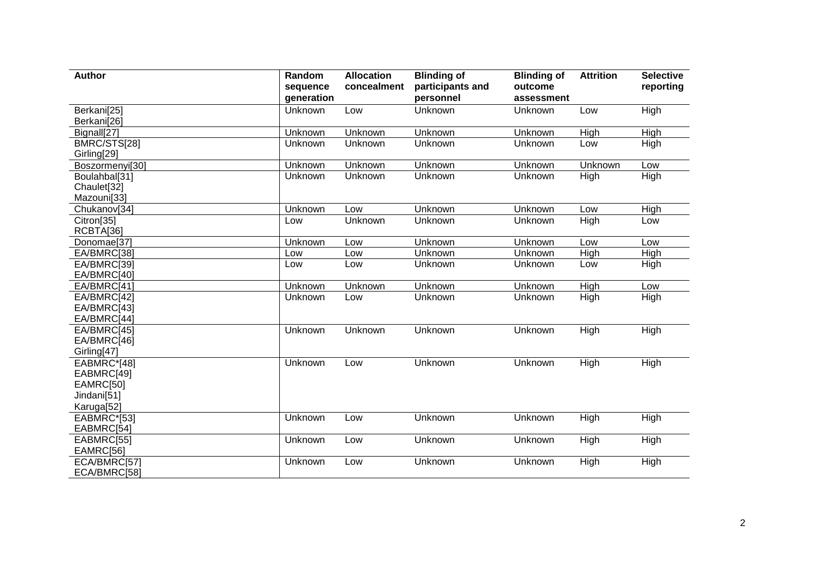| <b>Author</b>                                                       | Random<br>sequence<br>generation | <b>Allocation</b><br>concealment | <b>Blinding of</b><br>participants and<br>personnel | <b>Blinding of</b><br>outcome<br>assessment | <b>Attrition</b>  | <b>Selective</b><br>reporting |
|---------------------------------------------------------------------|----------------------------------|----------------------------------|-----------------------------------------------------|---------------------------------------------|-------------------|-------------------------------|
| Berkani[25]<br>Berkani[26]                                          | Unknown                          | Low                              | Unknown                                             | Unknown                                     | Low               | High                          |
| Bignall[27]                                                         | Unknown                          | Unknown                          | Unknown                                             | Unknown                                     | High              | High                          |
| BMRC/STS[28]<br>Girling[29]                                         | Unknown                          | Unknown                          | Unknown                                             | Unknown                                     | Low               | High                          |
| Boszormenyi[30]                                                     | Unknown                          | Unknown                          | Unknown                                             | Unknown                                     | Unknown           | Low                           |
| Boulahbal[31]<br>Chaulet[32]<br>Mazouni[33]                         | Unknown                          | Unknown                          | Unknown                                             | Unknown                                     | High              | High                          |
| Chukanov[34]                                                        | Unknown                          | Low                              | Unknown                                             | Unknown                                     | Low               | High                          |
| Citron[35]<br>RCBTA[36]                                             | Low                              | Unknown                          | Unknown                                             | Unknown                                     | High              | Low                           |
| Donomae[37]                                                         | Unknown                          | Low                              | Unknown                                             | Unknown                                     | Low               | Low                           |
| EA/BMRC[38]                                                         | Low                              | Low                              | Unknown                                             | Unknown                                     | High              | High                          |
| EA/BMRC[39]<br>EA/BMRC[40]                                          | Low                              | Low                              | Unknown                                             | Unknown                                     | Low               | High                          |
| EA/BMRC[41]                                                         | Unknown                          | Unknown                          | Unknown                                             | Unknown                                     | High              | Low                           |
| EA/BMRC[42]<br>EA/BMRC[43]<br>EA/BMRC[44]                           | Unknown                          | Low                              | Unknown                                             | Unknown                                     | <b>High</b>       | High                          |
| EA/BMRC[45]<br>EA/BMRC[46]<br>Girling[47]                           | Unknown                          | Unknown                          | Unknown                                             | Unknown                                     | High              | High                          |
| EABMRC*[48]<br>EABMRC[49]<br>EAMRC[50]<br>Jindani[51]<br>Karuga[52] | Unknown                          | Low                              | Unknown                                             | Unknown                                     | High              | High                          |
| EABMRC*[53]<br>EABMRC[54]                                           | Unknown                          | Low                              | Unknown                                             | Unknown                                     | High              | High                          |
| EABMRC[55]<br>EAMRC[56]                                             | Unknown                          | Low                              | Unknown                                             | Unknown                                     | High              | High                          |
| ECA/BMRC[57]<br>ECA/BMRC[58]                                        | Unknown                          | Low                              | Unknown                                             | Unknown                                     | $\overline{High}$ | High                          |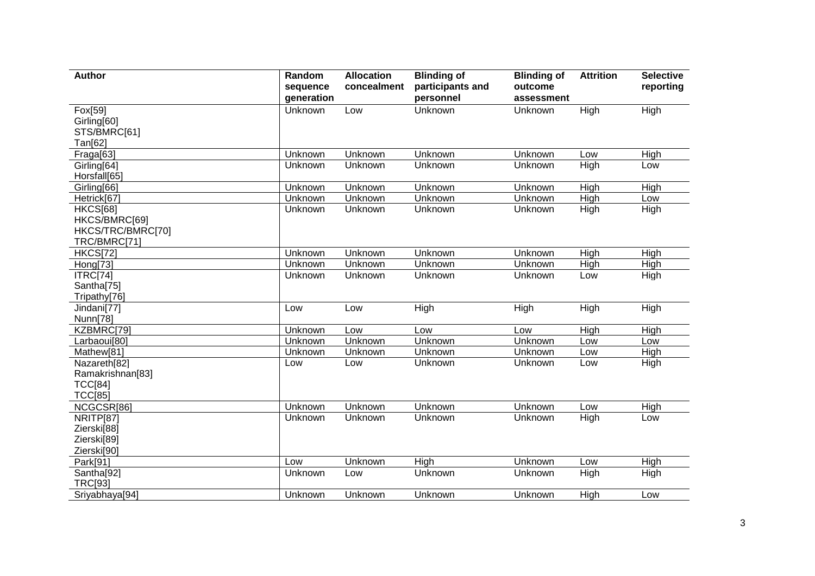| <b>Author</b>                                                         | Random<br>sequence<br>generation | <b>Allocation</b><br>concealment | <b>Blinding of</b><br>participants and<br>personnel | <b>Blinding of</b><br>outcome<br>assessment | <b>Attrition</b>  | <b>Selective</b><br>reporting |
|-----------------------------------------------------------------------|----------------------------------|----------------------------------|-----------------------------------------------------|---------------------------------------------|-------------------|-------------------------------|
| Fox[59]<br>Girling[60]<br>STS/BMRC[61]<br>Tan[62]                     | Unknown                          | Low                              | Unknown                                             | Unknown                                     | $\overline{High}$ | High                          |
| Fraga[63]                                                             | Unknown                          | Unknown                          | Unknown                                             | Unknown                                     | Low               | High                          |
| Girling[64]<br>Horsfall[65]                                           | Unknown                          | Unknown                          | Unknown                                             | Unknown                                     | High              | Low                           |
| Girling[66]                                                           | Unknown                          | Unknown                          | Unknown                                             | Unknown                                     | High              | High                          |
| Hetrick[67                                                            | Unknown                          | Unknown                          | Unknown                                             | Unknown                                     | High              | Low                           |
| <b>HKCS[68]</b><br>HKCS/BMRC[69]<br>HKCS/TRC/BMRC[70]<br>TRC/BMRC[71] | Unknown                          | Unknown                          | Unknown                                             | Unknown                                     | High              | High                          |
| <b>HKCS[72]</b>                                                       | Unknown                          | Unknown                          | Unknown                                             | Unknown                                     | High              | <b>High</b>                   |
| Hong[73]                                                              | Unknown                          | Unknown                          | Unknown                                             | Unknown                                     | High              | High                          |
| ITRC[74]<br>Santha[75]<br>Tripathy[76]                                | Unknown                          | Unknown                          | Unknown                                             | Unknown                                     | Low               | High                          |
| Jindani[77]<br>Nunn[78]                                               | Low                              | Low                              | High                                                | High                                        | High              | High                          |
| KZBMRC[79]                                                            | Unknown                          | Low                              | Low                                                 | Low                                         | High              | High                          |
| Larbaoui[80]                                                          | Unknown                          | Unknown                          | Unknown                                             | Unknown                                     | Low               | Low                           |
| Mathew[81]                                                            | Unknown                          | Unknown                          | Unknown                                             | Unknown                                     | Low               | High                          |
| Nazareth[82]<br>Ramakrishnan[83]<br><b>TCC[84]</b><br><b>TCC[85]</b>  | Low                              | Low                              | Unknown                                             | Unknown                                     | Low               | High                          |
| NCGCSR[86]                                                            | Unknown                          | Unknown                          | Unknown                                             | Unknown                                     | Low               | High                          |
| <b>NRITP[87]</b><br>Zierski[88]<br>Zierski[89]<br>Zierski[90]         | Unknown                          | Unknown                          | Unknown                                             | Unknown                                     | High              | Low                           |
| Park[91]                                                              | Low                              | Unknown                          | High                                                | Unknown                                     | Low               | High                          |
| Santha[92]<br>TRC[93]                                                 | Unknown                          | Low                              | Unknown                                             | Unknown                                     | High              | High                          |
| Sriyabhaya[94]                                                        | Unknown                          | Unknown                          | Unknown                                             | Unknown                                     | High              | Low                           |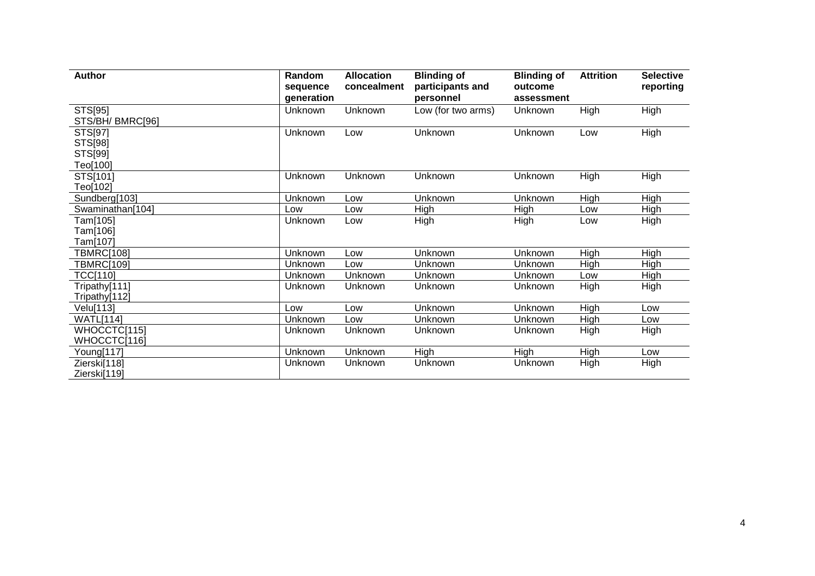| <b>Author</b>                             | Random<br>sequence<br>generation | <b>Allocation</b><br>concealment | <b>Blinding of</b><br>participants and<br>personnel | <b>Blinding of</b><br>outcome<br>assessment | <b>Attrition</b> | <b>Selective</b><br>reporting |
|-------------------------------------------|----------------------------------|----------------------------------|-----------------------------------------------------|---------------------------------------------|------------------|-------------------------------|
| STS[95]<br>STS/BH/ BMRC[96]               | Unknown                          | Unknown                          | Low (for two arms)                                  | Unknown                                     | High             | High                          |
| STS[97]<br>STS[98]<br>STS[99]<br>Teo[100] | Unknown                          | Low                              | Unknown                                             | Unknown                                     | Low              | High                          |
| STS[101]<br>Teo[102]                      | Unknown                          | Unknown                          | Unknown                                             | Unknown                                     | High             | High                          |
| Sundberg[103]                             | Unknown                          | Low                              | Unknown                                             | Unknown                                     | High             | High                          |
| Swaminathan[104]                          | Low                              | Low                              | High                                                | High                                        | Low              | High                          |
| Tam[105]<br>Tam[106]<br>Tam[107]          | Unknown                          | Low                              | High                                                | High                                        | Low              | High                          |
| <b>TBMRC[108]</b>                         | Unknown                          | Low                              | Unknown                                             | Unknown                                     | High             | High                          |
| <b>TBMRC[109]</b>                         | Unknown                          | Low                              | Unknown                                             | Unknown                                     | High             | High                          |
| <b>TCC[110]</b>                           | Unknown                          | Unknown                          | Unknown                                             | Unknown                                     | Low              | <b>High</b>                   |
| Tripathy[111]<br>Tripathy[112]            | Unknown                          | Unknown                          | Unknown                                             | <b>Unknown</b>                              | High             | High                          |
| Velu[113]                                 | Low                              | Low                              | Unknown                                             | <b>Unknown</b>                              | High             | Low                           |
| <b>WATL[114]</b>                          | Unknown                          | Low                              | Unknown                                             | Unknown                                     | High             | Low                           |
| WHOCCTC[115]<br>WHOCCTC[116]              | Unknown                          | Unknown                          | Unknown                                             | Unknown                                     | High             | High                          |
| Young[117]                                | Unknown                          | Unknown                          | High                                                | High                                        | High             | Low                           |
| Zierski[118]<br>Zierski[119]              | Unknown                          | Unknown                          | Unknown                                             | Unknown                                     | High             | High                          |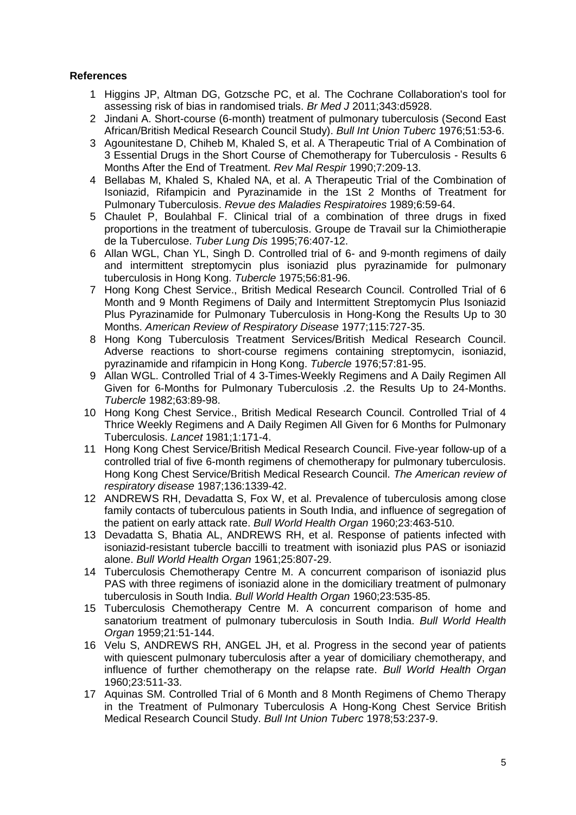## **References**

- 1 Higgins JP, Altman DG, Gotzsche PC, et al. The Cochrane Collaboration's tool for assessing risk of bias in randomised trials. *Br Med J* 2011;343:d5928.
- 2 Jindani A. Short-course (6-month) treatment of pulmonary tuberculosis (Second East African/British Medical Research Council Study). *Bull Int Union Tuberc* 1976;51:53-6.
- 3 Agounitestane D, Chiheb M, Khaled S, et al. A Therapeutic Trial of A Combination of 3 Essential Drugs in the Short Course of Chemotherapy for Tuberculosis - Results 6 Months After the End of Treatment. *Rev Mal Respir* 1990;7:209-13.
- 4 Bellabas M, Khaled S, Khaled NA, et al. A Therapeutic Trial of the Combination of Isoniazid, Rifampicin and Pyrazinamide in the 1St 2 Months of Treatment for Pulmonary Tuberculosis. *Revue des Maladies Respiratoires* 1989;6:59-64.
- 5 Chaulet P, Boulahbal F. Clinical trial of a combination of three drugs in fixed proportions in the treatment of tuberculosis. Groupe de Travail sur la Chimiotherapie de la Tuberculose. *Tuber Lung Dis* 1995;76:407-12.
- 6 Allan WGL, Chan YL, Singh D. Controlled trial of 6- and 9-month regimens of daily and intermittent streptomycin plus isoniazid plus pyrazinamide for pulmonary tuberculosis in Hong Kong. *Tubercle* 1975;56:81-96.
- 7 Hong Kong Chest Service., British Medical Research Council. Controlled Trial of 6 Month and 9 Month Regimens of Daily and Intermittent Streptomycin Plus Isoniazid Plus Pyrazinamide for Pulmonary Tuberculosis in Hong-Kong the Results Up to 30 Months. *American Review of Respiratory Disease* 1977;115:727-35.
- 8 Hong Kong Tuberculosis Treatment Services/British Medical Research Council. Adverse reactions to short-course regimens containing streptomycin, isoniazid, pyrazinamide and rifampicin in Hong Kong. *Tubercle* 1976;57:81-95.
- 9 Allan WGL. Controlled Trial of 4 3-Times-Weekly Regimens and A Daily Regimen All Given for 6-Months for Pulmonary Tuberculosis .2. the Results Up to 24-Months. *Tubercle* 1982;63:89-98.
- 10 Hong Kong Chest Service., British Medical Research Council. Controlled Trial of 4 Thrice Weekly Regimens and A Daily Regimen All Given for 6 Months for Pulmonary Tuberculosis. *Lancet* 1981;1:171-4.
- 11 Hong Kong Chest Service/British Medical Research Council. Five-year follow-up of a controlled trial of five 6-month regimens of chemotherapy for pulmonary tuberculosis. Hong Kong Chest Service/British Medical Research Council. *The American review of respiratory disease* 1987;136:1339-42.
- 12 ANDREWS RH, Devadatta S, Fox W, et al. Prevalence of tuberculosis among close family contacts of tuberculous patients in South India, and influence of segregation of the patient on early attack rate. *Bull World Health Organ* 1960;23:463-510.
- 13 Devadatta S, Bhatia AL, ANDREWS RH, et al. Response of patients infected with isoniazid-resistant tubercle baccilli to treatment with isoniazid plus PAS or isoniazid alone. *Bull World Health Organ* 1961;25:807-29.
- 14 Tuberculosis Chemotherapy Centre M. A concurrent comparison of isoniazid plus PAS with three regimens of isoniazid alone in the domiciliary treatment of pulmonary tuberculosis in South India. *Bull World Health Organ* 1960;23:535-85.
- 15 Tuberculosis Chemotherapy Centre M. A concurrent comparison of home and sanatorium treatment of pulmonary tuberculosis in South India. *Bull World Health Organ* 1959;21:51-144.
- 16 Velu S, ANDREWS RH, ANGEL JH, et al. Progress in the second year of patients with quiescent pulmonary tuberculosis after a year of domiciliary chemotherapy, and influence of further chemotherapy on the relapse rate. *Bull World Health Organ* 1960;23:511-33.
- 17 Aquinas SM. Controlled Trial of 6 Month and 8 Month Regimens of Chemo Therapy in the Treatment of Pulmonary Tuberculosis A Hong-Kong Chest Service British Medical Research Council Study. *Bull Int Union Tuberc* 1978;53:237-9.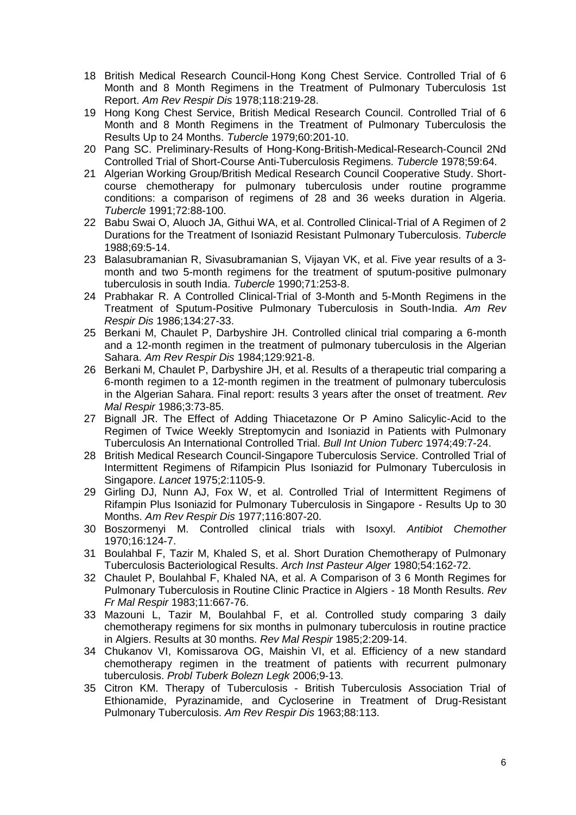- 18 British Medical Research Council-Hong Kong Chest Service. Controlled Trial of 6 Month and 8 Month Regimens in the Treatment of Pulmonary Tuberculosis 1st Report. *Am Rev Respir Dis* 1978;118:219-28.
- 19 Hong Kong Chest Service, British Medical Research Council. Controlled Trial of 6 Month and 8 Month Regimens in the Treatment of Pulmonary Tuberculosis the Results Up to 24 Months. *Tubercle* 1979;60:201-10.
- 20 Pang SC. Preliminary-Results of Hong-Kong-British-Medical-Research-Council 2Nd Controlled Trial of Short-Course Anti-Tuberculosis Regimens. *Tubercle* 1978;59:64.
- 21 Algerian Working Group/British Medical Research Council Cooperative Study. Shortcourse chemotherapy for pulmonary tuberculosis under routine programme conditions: a comparison of regimens of 28 and 36 weeks duration in Algeria. *Tubercle* 1991;72:88-100.
- 22 Babu Swai O, Aluoch JA, Githui WA, et al. Controlled Clinical-Trial of A Regimen of 2 Durations for the Treatment of Isoniazid Resistant Pulmonary Tuberculosis. *Tubercle* 1988;69:5-14.
- 23 Balasubramanian R, Sivasubramanian S, Vijayan VK, et al. Five year results of a 3 month and two 5-month regimens for the treatment of sputum-positive pulmonary tuberculosis in south India. *Tubercle* 1990;71:253-8.
- 24 Prabhakar R. A Controlled Clinical-Trial of 3-Month and 5-Month Regimens in the Treatment of Sputum-Positive Pulmonary Tuberculosis in South-India. *Am Rev Respir Dis* 1986;134:27-33.
- 25 Berkani M, Chaulet P, Darbyshire JH. Controlled clinical trial comparing a 6-month and a 12-month regimen in the treatment of pulmonary tuberculosis in the Algerian Sahara. *Am Rev Respir Dis* 1984;129:921-8.
- 26 Berkani M, Chaulet P, Darbyshire JH, et al. Results of a therapeutic trial comparing a 6-month regimen to a 12-month regimen in the treatment of pulmonary tuberculosis in the Algerian Sahara. Final report: results 3 years after the onset of treatment. *Rev Mal Respir* 1986;3:73-85.
- 27 Bignall JR. The Effect of Adding Thiacetazone Or P Amino Salicylic-Acid to the Regimen of Twice Weekly Streptomycin and Isoniazid in Patients with Pulmonary Tuberculosis An International Controlled Trial. *Bull Int Union Tuberc* 1974;49:7-24.
- 28 British Medical Research Council-Singapore Tuberculosis Service. Controlled Trial of Intermittent Regimens of Rifampicin Plus Isoniazid for Pulmonary Tuberculosis in Singapore. *Lancet* 1975;2:1105-9.
- 29 Girling DJ, Nunn AJ, Fox W, et al. Controlled Trial of Intermittent Regimens of Rifampin Plus Isoniazid for Pulmonary Tuberculosis in Singapore - Results Up to 30 Months. *Am Rev Respir Dis* 1977;116:807-20.
- 30 Boszormenyi M. Controlled clinical trials with Isoxyl. *Antibiot Chemother* 1970;16:124-7.
- 31 Boulahbal F, Tazir M, Khaled S, et al. Short Duration Chemotherapy of Pulmonary Tuberculosis Bacteriological Results. *Arch Inst Pasteur Alger* 1980;54:162-72.
- 32 Chaulet P, Boulahbal F, Khaled NA, et al. A Comparison of 3 6 Month Regimes for Pulmonary Tuberculosis in Routine Clinic Practice in Algiers - 18 Month Results. *Rev Fr Mal Respir* 1983;11:667-76.
- 33 Mazouni L, Tazir M, Boulahbal F, et al. Controlled study comparing 3 daily chemotherapy regimens for six months in pulmonary tuberculosis in routine practice in Algiers. Results at 30 months. *Rev Mal Respir* 1985;2:209-14.
- 34 Chukanov VI, Komissarova OG, Maishin VI, et al. Efficiency of a new standard chemotherapy regimen in the treatment of patients with recurrent pulmonary tuberculosis. *Probl Tuberk Bolezn Legk* 2006;9-13.
- 35 Citron KM. Therapy of Tuberculosis British Tuberculosis Association Trial of Ethionamide, Pyrazinamide, and Cycloserine in Treatment of Drug-Resistant Pulmonary Tuberculosis. *Am Rev Respir Dis* 1963;88:113.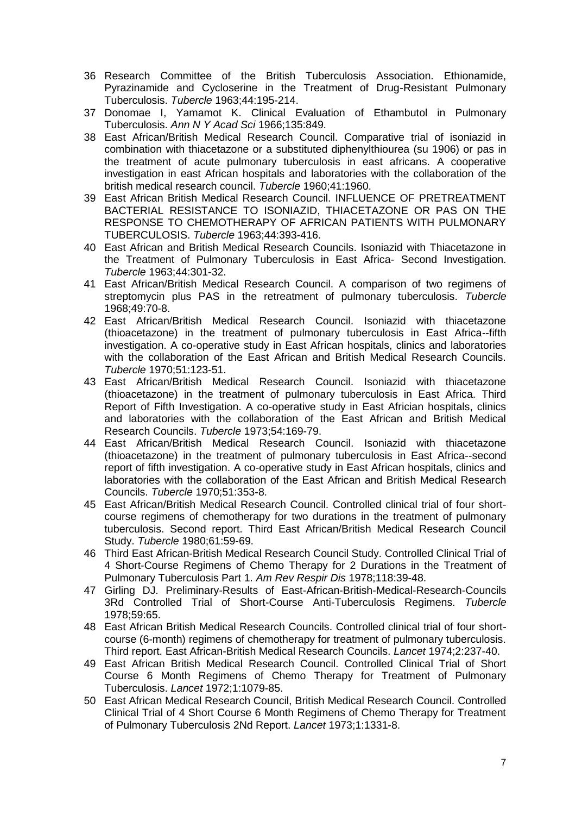- 36 Research Committee of the British Tuberculosis Association. Ethionamide, Pyrazinamide and Cycloserine in the Treatment of Drug-Resistant Pulmonary Tuberculosis. *Tubercle* 1963;44:195-214.
- 37 Donomae I, Yamamot K. Clinical Evaluation of Ethambutol in Pulmonary Tuberculosis. *Ann N Y Acad Sci* 1966;135:849.
- 38 East African/British Medical Research Council. Comparative trial of isoniazid in combination with thiacetazone or a substituted diphenylthiourea (su 1906) or pas in the treatment of acute pulmonary tuberculosis in east africans. A cooperative investigation in east African hospitals and laboratories with the collaboration of the british medical research council. *Tubercle* 1960;41:1960.
- 39 East African British Medical Research Council. INFLUENCE OF PRETREATMENT BACTERIAL RESISTANCE TO ISONIAZID, THIACETAZONE OR PAS ON THE RESPONSE TO CHEMOTHERAPY OF AFRICAN PATIENTS WITH PULMONARY TUBERCULOSIS. *Tubercle* 1963;44:393-416.
- 40 East African and British Medical Research Councils. Isoniazid with Thiacetazone in the Treatment of Pulmonary Tuberculosis in East Africa- Second Investigation. *Tubercle* 1963;44:301-32.
- 41 East African/British Medical Research Council. A comparison of two regimens of streptomycin plus PAS in the retreatment of pulmonary tuberculosis. *Tubercle* 1968;49:70-8.
- 42 East African/British Medical Research Council. Isoniazid with thiacetazone (thioacetazone) in the treatment of pulmonary tuberculosis in East Africa--fifth investigation. A co-operative study in East African hospitals, clinics and laboratories with the collaboration of the East African and British Medical Research Councils. *Tubercle* 1970;51:123-51.
- 43 East African/British Medical Research Council. Isoniazid with thiacetazone (thioacetazone) in the treatment of pulmonary tuberculosis in East Africa. Third Report of Fifth Investigation. A co-operative study in East Africian hospitals, clinics and laboratories with the collaboration of the East African and British Medical Research Councils. *Tubercle* 1973;54:169-79.
- 44 East African/British Medical Research Council. Isoniazid with thiacetazone (thioacetazone) in the treatment of pulmonary tuberculosis in East Africa--second report of fifth investigation. A co-operative study in East African hospitals, clinics and laboratories with the collaboration of the East African and British Medical Research Councils. *Tubercle* 1970;51:353-8.
- 45 East African/British Medical Research Council. Controlled clinical trial of four shortcourse regimens of chemotherapy for two durations in the treatment of pulmonary tuberculosis. Second report. Third East African/British Medical Research Council Study. *Tubercle* 1980;61:59-69.
- 46 Third East African-British Medical Research Council Study. Controlled Clinical Trial of 4 Short-Course Regimens of Chemo Therapy for 2 Durations in the Treatment of Pulmonary Tuberculosis Part 1. *Am Rev Respir Dis* 1978;118:39-48.
- 47 Girling DJ. Preliminary-Results of East-African-British-Medical-Research-Councils 3Rd Controlled Trial of Short-Course Anti-Tuberculosis Regimens. *Tubercle* 1978;59:65.
- 48 East African British Medical Research Councils. Controlled clinical trial of four shortcourse (6-month) regimens of chemotherapy for treatment of pulmonary tuberculosis. Third report. East African-British Medical Research Councils. *Lancet* 1974;2:237-40.
- 49 East African British Medical Research Council. Controlled Clinical Trial of Short Course 6 Month Regimens of Chemo Therapy for Treatment of Pulmonary Tuberculosis. *Lancet* 1972;1:1079-85.
- 50 East African Medical Research Council, British Medical Research Council. Controlled Clinical Trial of 4 Short Course 6 Month Regimens of Chemo Therapy for Treatment of Pulmonary Tuberculosis 2Nd Report. *Lancet* 1973;1:1331-8.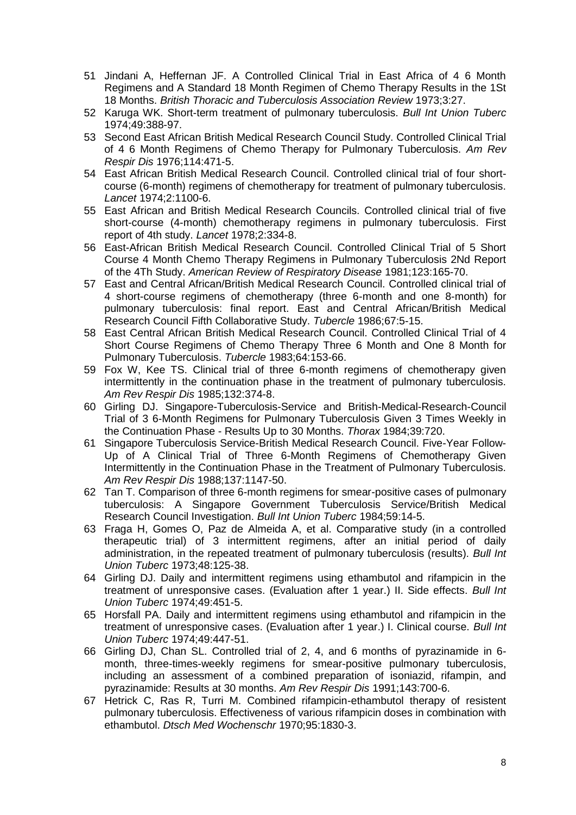- 51 Jindani A, Heffernan JF. A Controlled Clinical Trial in East Africa of 4 6 Month Regimens and A Standard 18 Month Regimen of Chemo Therapy Results in the 1St 18 Months. *British Thoracic and Tuberculosis Association Review* 1973;3:27.
- 52 Karuga WK. Short-term treatment of pulmonary tuberculosis. *Bull Int Union Tuberc* 1974;49:388-97.
- 53 Second East African British Medical Research Council Study. Controlled Clinical Trial of 4 6 Month Regimens of Chemo Therapy for Pulmonary Tuberculosis. *Am Rev Respir Dis* 1976;114:471-5.
- 54 East African British Medical Research Council. Controlled clinical trial of four shortcourse (6-month) regimens of chemotherapy for treatment of pulmonary tuberculosis. *Lancet* 1974;2:1100-6.
- 55 East African and British Medical Research Councils. Controlled clinical trial of five short-course (4-month) chemotherapy regimens in pulmonary tuberculosis. First report of 4th study. *Lancet* 1978;2:334-8.
- 56 East-African British Medical Research Council. Controlled Clinical Trial of 5 Short Course 4 Month Chemo Therapy Regimens in Pulmonary Tuberculosis 2Nd Report of the 4Th Study. *American Review of Respiratory Disease* 1981;123:165-70.
- 57 East and Central African/British Medical Research Council. Controlled clinical trial of 4 short-course regimens of chemotherapy (three 6-month and one 8-month) for pulmonary tuberculosis: final report. East and Central African/British Medical Research Council Fifth Collaborative Study. *Tubercle* 1986;67:5-15.
- 58 East Central African British Medical Research Council. Controlled Clinical Trial of 4 Short Course Regimens of Chemo Therapy Three 6 Month and One 8 Month for Pulmonary Tuberculosis. *Tubercle* 1983;64:153-66.
- 59 Fox W, Kee TS. Clinical trial of three 6-month regimens of chemotherapy given intermittently in the continuation phase in the treatment of pulmonary tuberculosis. *Am Rev Respir Dis* 1985;132:374-8.
- 60 Girling DJ. Singapore-Tuberculosis-Service and British-Medical-Research-Council Trial of 3 6-Month Regimens for Pulmonary Tuberculosis Given 3 Times Weekly in the Continuation Phase - Results Up to 30 Months. *Thorax* 1984;39:720.
- 61 Singapore Tuberculosis Service-British Medical Research Council. Five-Year Follow-Up of A Clinical Trial of Three 6-Month Regimens of Chemotherapy Given Intermittently in the Continuation Phase in the Treatment of Pulmonary Tuberculosis. *Am Rev Respir Dis* 1988;137:1147-50.
- 62 Tan T. Comparison of three 6-month regimens for smear-positive cases of pulmonary tuberculosis: A Singapore Government Tuberculosis Service/British Medical Research Council Investigation. *Bull Int Union Tuberc* 1984;59:14-5.
- 63 Fraga H, Gomes O, Paz de Almeida A, et al. Comparative study (in a controlled therapeutic trial) of 3 intermittent regimens, after an initial period of daily administration, in the repeated treatment of pulmonary tuberculosis (results). *Bull Int Union Tuberc* 1973;48:125-38.
- 64 Girling DJ. Daily and intermittent regimens using ethambutol and rifampicin in the treatment of unresponsive cases. (Evaluation after 1 year.) II. Side effects. *Bull Int Union Tuberc* 1974;49:451-5.
- 65 Horsfall PA. Daily and intermittent regimens using ethambutol and rifampicin in the treatment of unresponsive cases. (Evaluation after 1 year.) I. Clinical course. *Bull Int Union Tuberc* 1974;49:447-51.
- 66 Girling DJ, Chan SL. Controlled trial of 2, 4, and 6 months of pyrazinamide in 6 month, three-times-weekly regimens for smear-positive pulmonary tuberculosis, including an assessment of a combined preparation of isoniazid, rifampin, and pyrazinamide: Results at 30 months. *Am Rev Respir Dis* 1991;143:700-6.
- 67 Hetrick C, Ras R, Turri M. Combined rifampicin-ethambutol therapy of resistent pulmonary tuberculosis. Effectiveness of various rifampicin doses in combination with ethambutol. *Dtsch Med Wochenschr* 1970;95:1830-3.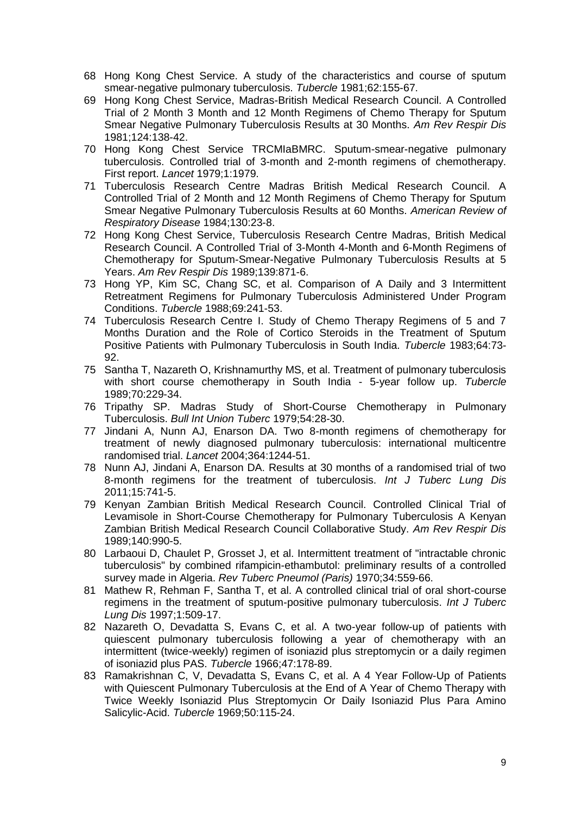- 68 Hong Kong Chest Service. A study of the characteristics and course of sputum smear-negative pulmonary tuberculosis. *Tubercle* 1981;62:155-67.
- 69 Hong Kong Chest Service, Madras-British Medical Research Council. A Controlled Trial of 2 Month 3 Month and 12 Month Regimens of Chemo Therapy for Sputum Smear Negative Pulmonary Tuberculosis Results at 30 Months. *Am Rev Respir Dis* 1981;124:138-42.
- 70 Hong Kong Chest Service TRCMIaBMRC. Sputum-smear-negative pulmonary tuberculosis. Controlled trial of 3-month and 2-month regimens of chemotherapy. First report. *Lancet* 1979;1:1979.
- 71 Tuberculosis Research Centre Madras British Medical Research Council. A Controlled Trial of 2 Month and 12 Month Regimens of Chemo Therapy for Sputum Smear Negative Pulmonary Tuberculosis Results at 60 Months. *American Review of Respiratory Disease* 1984;130:23-8.
- 72 Hong Kong Chest Service, Tuberculosis Research Centre Madras, British Medical Research Council. A Controlled Trial of 3-Month 4-Month and 6-Month Regimens of Chemotherapy for Sputum-Smear-Negative Pulmonary Tuberculosis Results at 5 Years. *Am Rev Respir Dis* 1989;139:871-6.
- 73 Hong YP, Kim SC, Chang SC, et al. Comparison of A Daily and 3 Intermittent Retreatment Regimens for Pulmonary Tuberculosis Administered Under Program Conditions. *Tubercle* 1988;69:241-53.
- 74 Tuberculosis Research Centre I. Study of Chemo Therapy Regimens of 5 and 7 Months Duration and the Role of Cortico Steroids in the Treatment of Sputum Positive Patients with Pulmonary Tuberculosis in South India. *Tubercle* 1983;64:73- 92.
- 75 Santha T, Nazareth O, Krishnamurthy MS, et al. Treatment of pulmonary tuberculosis with short course chemotherapy in South India - 5-year follow up. *Tubercle* 1989;70:229-34.
- 76 Tripathy SP. Madras Study of Short-Course Chemotherapy in Pulmonary Tuberculosis. *Bull Int Union Tuberc* 1979;54:28-30.
- 77 Jindani A, Nunn AJ, Enarson DA. Two 8-month regimens of chemotherapy for treatment of newly diagnosed pulmonary tuberculosis: international multicentre randomised trial. *Lancet* 2004;364:1244-51.
- 78 Nunn AJ, Jindani A, Enarson DA. Results at 30 months of a randomised trial of two 8-month regimens for the treatment of tuberculosis. *Int J Tuberc Lung Dis* 2011;15:741-5.
- 79 Kenyan Zambian British Medical Research Council. Controlled Clinical Trial of Levamisole in Short-Course Chemotherapy for Pulmonary Tuberculosis A Kenyan Zambian British Medical Research Council Collaborative Study. *Am Rev Respir Dis* 1989;140:990-5.
- 80 Larbaoui D, Chaulet P, Grosset J, et al. Intermittent treatment of "intractable chronic tuberculosis" by combined rifampicin-ethambutol: preliminary results of a controlled survey made in Algeria. *Rev Tuberc Pneumol (Paris)* 1970;34:559-66.
- 81 Mathew R, Rehman F, Santha T, et al. A controlled clinical trial of oral short-course regimens in the treatment of sputum-positive pulmonary tuberculosis. *Int J Tuberc Lung Dis* 1997;1:509-17.
- 82 Nazareth O, Devadatta S, Evans C, et al. A two-year follow-up of patients with quiescent pulmonary tuberculosis following a year of chemotherapy with an intermittent (twice-weekly) regimen of isoniazid plus streptomycin or a daily regimen of isoniazid plus PAS. *Tubercle* 1966;47:178-89.
- 83 Ramakrishnan C, V, Devadatta S, Evans C, et al. A 4 Year Follow-Up of Patients with Quiescent Pulmonary Tuberculosis at the End of A Year of Chemo Therapy with Twice Weekly Isoniazid Plus Streptomycin Or Daily Isoniazid Plus Para Amino Salicylic-Acid. *Tubercle* 1969;50:115-24.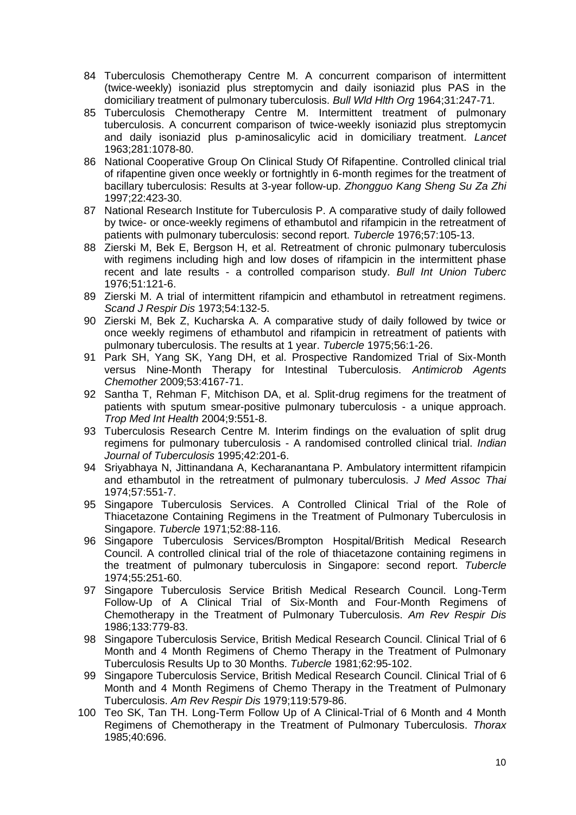- 84 Tuberculosis Chemotherapy Centre M. A concurrent comparison of intermittent (twice-weekly) isoniazid plus streptomycin and daily isoniazid plus PAS in the domiciliary treatment of pulmonary tuberculosis. *Bull Wld Hlth Org* 1964;31:247-71.
- 85 Tuberculosis Chemotherapy Centre M. Intermittent treatment of pulmonary tuberculosis. A concurrent comparison of twice-weekly isoniazid plus streptomycin and daily isoniazid plus p-aminosalicylic acid in domiciliary treatment. *Lancet* 1963;281:1078-80.
- 86 National Cooperative Group On Clinical Study Of Rifapentine. Controlled clinical trial of rifapentine given once weekly or fortnightly in 6-month regimes for the treatment of bacillary tuberculosis: Results at 3-year follow-up. *Zhongguo Kang Sheng Su Za Zhi* 1997;22:423-30.
- 87 National Research Institute for Tuberculosis P. A comparative study of daily followed by twice- or once-weekly regimens of ethambutol and rifampicin in the retreatment of patients with pulmonary tuberculosis: second report. *Tubercle* 1976;57:105-13.
- 88 Zierski M, Bek E, Bergson H, et al. Retreatment of chronic pulmonary tuberculosis with regimens including high and low doses of rifampicin in the intermittent phase recent and late results - a controlled comparison study. *Bull Int Union Tuberc* 1976;51:121-6.
- 89 Zierski M. A trial of intermittent rifampicin and ethambutol in retreatment regimens. *Scand J Respir Dis* 1973;54:132-5.
- 90 Zierski M, Bek Z, Kucharska A. A comparative study of daily followed by twice or once weekly regimens of ethambutol and rifampicin in retreatment of patients with pulmonary tuberculosis. The results at 1 year. *Tubercle* 1975;56:1-26.
- 91 Park SH, Yang SK, Yang DH, et al. Prospective Randomized Trial of Six-Month versus Nine-Month Therapy for Intestinal Tuberculosis. *Antimicrob Agents Chemother* 2009;53:4167-71.
- 92 Santha T, Rehman F, Mitchison DA, et al. Split-drug regimens for the treatment of patients with sputum smear-positive pulmonary tuberculosis - a unique approach. *Trop Med Int Health* 2004;9:551-8.
- 93 Tuberculosis Research Centre M. Interim findings on the evaluation of split drug regimens for pulmonary tuberculosis - A randomised controlled clinical trial. *Indian Journal of Tuberculosis* 1995;42:201-6.
- 94 Sriyabhaya N, Jittinandana A, Kecharanantana P. Ambulatory intermittent rifampicin and ethambutol in the retreatment of pulmonary tuberculosis. *J Med Assoc Thai* 1974;57:551-7.
- 95 Singapore Tuberculosis Services. A Controlled Clinical Trial of the Role of Thiacetazone Containing Regimens in the Treatment of Pulmonary Tuberculosis in Singapore. *Tubercle* 1971;52:88-116.
- 96 Singapore Tuberculosis Services/Brompton Hospital/British Medical Research Council. A controlled clinical trial of the role of thiacetazone containing regimens in the treatment of pulmonary tuberculosis in Singapore: second report. *Tubercle* 1974;55:251-60.
- 97 Singapore Tuberculosis Service British Medical Research Council. Long-Term Follow-Up of A Clinical Trial of Six-Month and Four-Month Regimens of Chemotherapy in the Treatment of Pulmonary Tuberculosis. *Am Rev Respir Dis* 1986;133:779-83.
- 98 Singapore Tuberculosis Service, British Medical Research Council. Clinical Trial of 6 Month and 4 Month Regimens of Chemo Therapy in the Treatment of Pulmonary Tuberculosis Results Up to 30 Months. *Tubercle* 1981;62:95-102.
- 99 Singapore Tuberculosis Service, British Medical Research Council. Clinical Trial of 6 Month and 4 Month Regimens of Chemo Therapy in the Treatment of Pulmonary Tuberculosis. *Am Rev Respir Dis* 1979;119:579-86.
- 100 Teo SK, Tan TH. Long-Term Follow Up of A Clinical-Trial of 6 Month and 4 Month Regimens of Chemotherapy in the Treatment of Pulmonary Tuberculosis. *Thorax* 1985;40:696.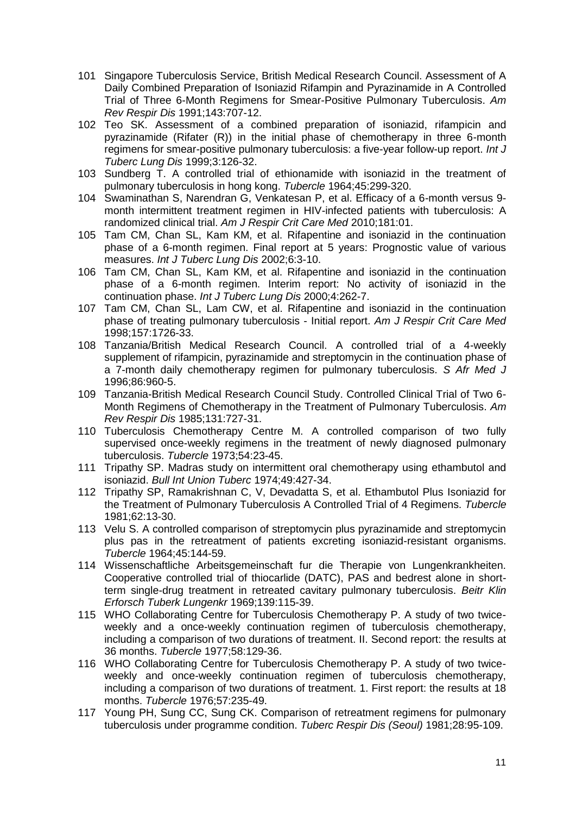- 101 Singapore Tuberculosis Service, British Medical Research Council. Assessment of A Daily Combined Preparation of Isoniazid Rifampin and Pyrazinamide in A Controlled Trial of Three 6-Month Regimens for Smear-Positive Pulmonary Tuberculosis. *Am Rev Respir Dis* 1991;143:707-12.
- 102 Teo SK. Assessment of a combined preparation of isoniazid, rifampicin and pyrazinamide (Rifater (R)) in the initial phase of chemotherapy in three 6-month regimens for smear-positive pulmonary tuberculosis: a five-year follow-up report. *Int J Tuberc Lung Dis* 1999;3:126-32.
- 103 Sundberg T. A controlled trial of ethionamide with isoniazid in the treatment of pulmonary tuberculosis in hong kong. *Tubercle* 1964;45:299-320.
- 104 Swaminathan S, Narendran G, Venkatesan P, et al. Efficacy of a 6-month versus 9 month intermittent treatment regimen in HIV-infected patients with tuberculosis: A randomized clinical trial. *Am J Respir Crit Care Med* 2010;181:01.
- 105 Tam CM, Chan SL, Kam KM, et al. Rifapentine and isoniazid in the continuation phase of a 6-month regimen. Final report at 5 years: Prognostic value of various measures. *Int J Tuberc Lung Dis* 2002;6:3-10.
- 106 Tam CM, Chan SL, Kam KM, et al. Rifapentine and isoniazid in the continuation phase of a 6-month regimen. Interim report: No activity of isoniazid in the continuation phase. *Int J Tuberc Lung Dis* 2000;4:262-7.
- 107 Tam CM, Chan SL, Lam CW, et al. Rifapentine and isoniazid in the continuation phase of treating pulmonary tuberculosis - Initial report. *Am J Respir Crit Care Med* 1998;157:1726-33.
- 108 Tanzania/British Medical Research Council. A controlled trial of a 4-weekly supplement of rifampicin, pyrazinamide and streptomycin in the continuation phase of a 7-month daily chemotherapy regimen for pulmonary tuberculosis. *S Afr Med J* 1996;86:960-5.
- 109 Tanzania-British Medical Research Council Study. Controlled Clinical Trial of Two 6- Month Regimens of Chemotherapy in the Treatment of Pulmonary Tuberculosis. *Am Rev Respir Dis* 1985;131:727-31.
- 110 Tuberculosis Chemotherapy Centre M. A controlled comparison of two fully supervised once-weekly regimens in the treatment of newly diagnosed pulmonary tuberculosis. *Tubercle* 1973;54:23-45.
- 111 Tripathy SP. Madras study on intermittent oral chemotherapy using ethambutol and isoniazid. *Bull Int Union Tuberc* 1974;49:427-34.
- 112 Tripathy SP, Ramakrishnan C, V, Devadatta S, et al. Ethambutol Plus Isoniazid for the Treatment of Pulmonary Tuberculosis A Controlled Trial of 4 Regimens. *Tubercle* 1981;62:13-30.
- 113 Velu S. A controlled comparison of streptomycin plus pyrazinamide and streptomycin plus pas in the retreatment of patients excreting isoniazid-resistant organisms. *Tubercle* 1964;45:144-59.
- 114 Wissenschaftliche Arbeitsgemeinschaft fur die Therapie von Lungenkrankheiten. Cooperative controlled trial of thiocarlide (DATC), PAS and bedrest alone in shortterm single-drug treatment in retreated cavitary pulmonary tuberculosis. *Beitr Klin Erforsch Tuberk Lungenkr* 1969;139:115-39.
- 115 WHO Collaborating Centre for Tuberculosis Chemotherapy P. A study of two twiceweekly and a once-weekly continuation regimen of tuberculosis chemotherapy, including a comparison of two durations of treatment. II. Second report: the results at 36 months. *Tubercle* 1977;58:129-36.
- 116 WHO Collaborating Centre for Tuberculosis Chemotherapy P. A study of two twiceweekly and once-weekly continuation regimen of tuberculosis chemotherapy, including a comparison of two durations of treatment. 1. First report: the results at 18 months. *Tubercle* 1976;57:235-49.
- 117 Young PH, Sung CC, Sung CK. Comparison of retreatment regimens for pulmonary tuberculosis under programme condition. *Tuberc Respir Dis (Seoul)* 1981;28:95-109.